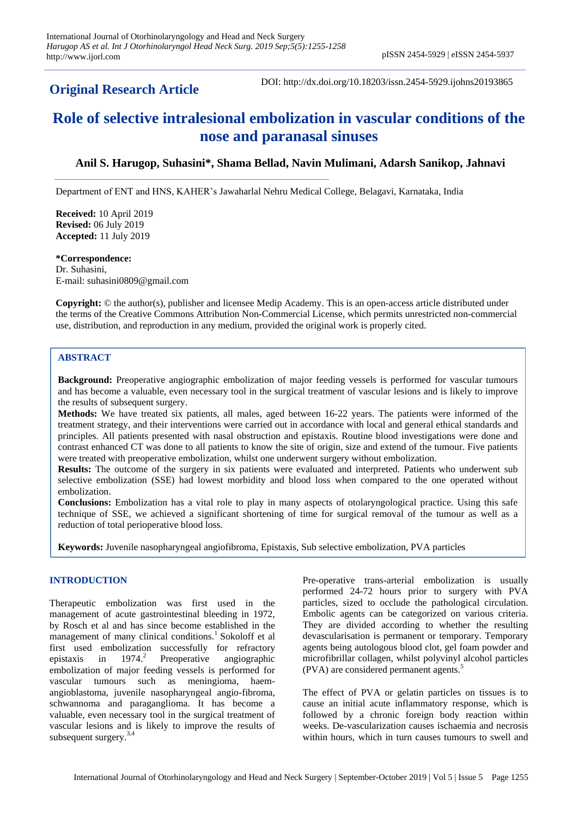## **Original Research Article**

DOI: http://dx.doi.org/10.18203/issn.2454-5929.ijohns20193865

# **Role of selective intralesional embolization in vascular conditions of the nose and paranasal sinuses**

## **Anil S. Harugop, Suhasini\*, Shama Bellad, Navin Mulimani, Adarsh Sanikop, Jahnavi**

Department of ENT and HNS, KAHER's Jawaharlal Nehru Medical College, Belagavi, Karnataka, India

**Received:** 10 April 2019 **Revised:** 06 July 2019 **Accepted:** 11 July 2019

**\*Correspondence:**

Dr. Suhasini, E-mail: suhasini0809@gmail.com

**Copyright:** © the author(s), publisher and licensee Medip Academy. This is an open-access article distributed under the terms of the Creative Commons Attribution Non-Commercial License, which permits unrestricted non-commercial use, distribution, and reproduction in any medium, provided the original work is properly cited.

## **ABSTRACT**

**Background:** Preoperative angiographic embolization of major feeding vessels is performed for vascular tumours and has become a valuable, even necessary tool in the surgical treatment of vascular lesions and is likely to improve the results of subsequent surgery.

**Methods:** We have treated six patients, all males, aged between 16-22 years. The patients were informed of the treatment strategy, and their interventions were carried out in accordance with local and general ethical standards and principles. All patients presented with nasal obstruction and epistaxis. Routine blood investigations were done and contrast enhanced CT was done to all patients to know the site of origin, size and extend of the tumour. Five patients were treated with preoperative embolization, whilst one underwent surgery without embolization.

**Results:** The outcome of the surgery in six patients were evaluated and interpreted. Patients who underwent sub selective embolization (SSE) had lowest morbidity and blood loss when compared to the one operated without embolization.

**Conclusions:** Embolization has a vital role to play in many aspects of otolaryngological practice. Using this safe technique of SSE, we achieved a significant shortening of time for surgical removal of the tumour as well as a reduction of total perioperative blood loss.

**Keywords:** Juvenile nasopharyngeal angiofibroma, Epistaxis, Sub selective embolization, PVA particles

## **INTRODUCTION**

Therapeutic embolization was first used in the management of acute gastrointestinal bleeding in 1972, by Rosch et al and has since become established in the management of many clinical conditions.<sup>1</sup> Sokoloff et al first used embolization successfully for refractory epistaxis in  $1974.<sup>2</sup>$  Preoperative angiographic embolization of major feeding vessels is performed for vascular tumours such as meningioma, haemangioblastoma, juvenile nasopharyngeal angio-fibroma, schwannoma and paraganglioma. It has become a valuable, even necessary tool in the surgical treatment of vascular lesions and is likely to improve the results of subsequent surgery.<sup>3,4</sup>

Pre-operative trans-arterial embolization is usually performed 24-72 hours prior to surgery with PVA particles, sized to occlude the pathological circulation. Embolic agents can be categorized on various criteria. They are divided according to whether the resulting devascularisation is permanent or temporary. Temporary agents being autologous blood clot, gel foam powder and microfibrillar collagen, whilst polyvinyl alcohol particles (PVA) are considered permanent agents.<sup>5</sup>

The effect of PVA or gelatin particles on tissues is to cause an initial acute inflammatory response, which is followed by a chronic foreign body reaction within weeks. De-vascularization causes ischaemia and necrosis within hours, which in turn causes tumours to swell and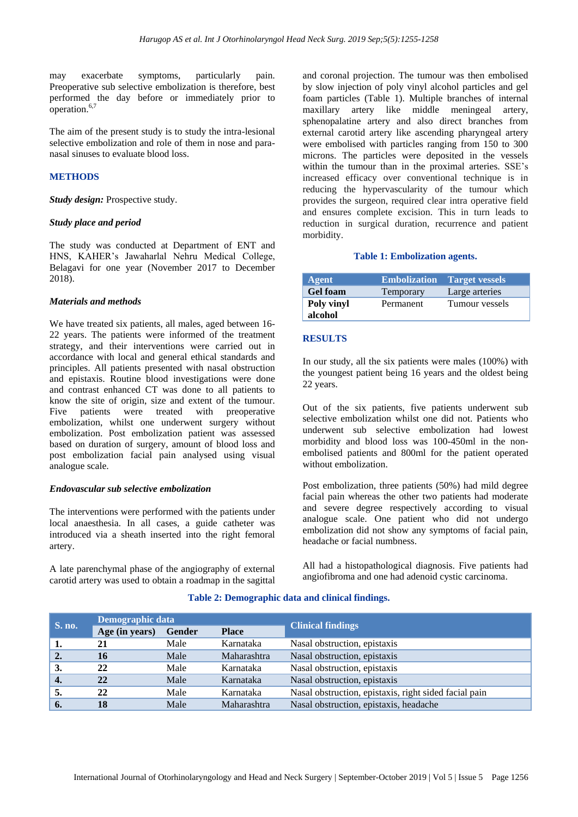may exacerbate symptoms, particularly pain. Preoperative sub selective embolization is therefore, best performed the day before or immediately prior to operation.<sup>6,7</sup>

The aim of the present study is to study the intra-lesional selective embolization and role of them in nose and paranasal sinuses to evaluate blood loss.

## **METHODS**

*Study design:* Prospective study.

#### *Study place and period*

The study was conducted at Department of ENT and HNS, KAHER's Jawaharlal Nehru Medical College, Belagavi for one year (November 2017 to December 2018).

#### *Materials and methods*

We have treated six patients, all males, aged between 16- 22 years. The patients were informed of the treatment strategy, and their interventions were carried out in accordance with local and general ethical standards and principles. All patients presented with nasal obstruction and epistaxis. Routine blood investigations were done and contrast enhanced CT was done to all patients to know the site of origin, size and extent of the tumour. Five patients were treated with preoperative embolization, whilst one underwent surgery without embolization. Post embolization patient was assessed based on duration of surgery, amount of blood loss and post embolization facial pain analysed using visual analogue scale.

#### *Endovascular sub selective embolization*

The interventions were performed with the patients under local anaesthesia. In all cases, a guide catheter was introduced via a sheath inserted into the right femoral artery.

A late parenchymal phase of the angiography of external carotid artery was used to obtain a roadmap in the sagittal

and coronal projection. The tumour was then embolised by slow injection of poly vinyl alcohol particles and gel foam particles (Table 1). Multiple branches of internal maxillary artery like middle meningeal artery, sphenopalatine artery and also direct branches from external carotid artery like ascending pharyngeal artery were embolised with particles ranging from 150 to 300 microns. The particles were deposited in the vessels within the tumour than in the proximal arteries. SSE's increased efficacy over conventional technique is in reducing the hypervascularity of the tumour which provides the surgeon, required clear intra operative field and ensures complete excision. This in turn leads to reduction in surgical duration, recurrence and patient morbidity.

#### **Table 1: Embolization agents.**

| Agent           |           | <b>Embolization</b> Target vessels |
|-----------------|-----------|------------------------------------|
| <b>Gel foam</b> | Temporary | Large arteries                     |
| Poly vinyl      | Permanent | Tumour vessels                     |
| alcohol         |           |                                    |

#### **RESULTS**

In our study, all the six patients were males (100%) with the youngest patient being 16 years and the oldest being 22 years.

Out of the six patients, five patients underwent sub selective embolization whilst one did not. Patients who underwent sub selective embolization had lowest morbidity and blood loss was 100-450ml in the nonembolised patients and 800ml for the patient operated without embolization.

Post embolization, three patients (50%) had mild degree facial pain whereas the other two patients had moderate and severe degree respectively according to visual analogue scale. One patient who did not undergo embolization did not show any symptoms of facial pain, headache or facial numbness.

All had a histopathological diagnosis. Five patients had angiofibroma and one had adenoid cystic carcinoma.

| S. no.           | Demographic data |               |              | <b>Clinical findings</b>                              |  |  |
|------------------|------------------|---------------|--------------|-------------------------------------------------------|--|--|
|                  | Age (in years)   | <b>Gender</b> | <b>Place</b> |                                                       |  |  |
| -1.              | 21               | Male          | Karnataka    | Nasal obstruction, epistaxis                          |  |  |
| 2.               | 16               | Male          | Maharashtra  | Nasal obstruction, epistaxis                          |  |  |
| 3.               | 22               | Male          | Karnataka    | Nasal obstruction, epistaxis                          |  |  |
| $\overline{4}$ . | 22               | Male          | Karnataka    | Nasal obstruction, epistaxis                          |  |  |
|                  | 22               | Male          | Karnataka    | Nasal obstruction, epistaxis, right sided facial pain |  |  |
| 6.               | 18               | Male          | Maharashtra  | Nasal obstruction, epistaxis, headache                |  |  |

#### **Table 2: Demographic data and clinical findings.**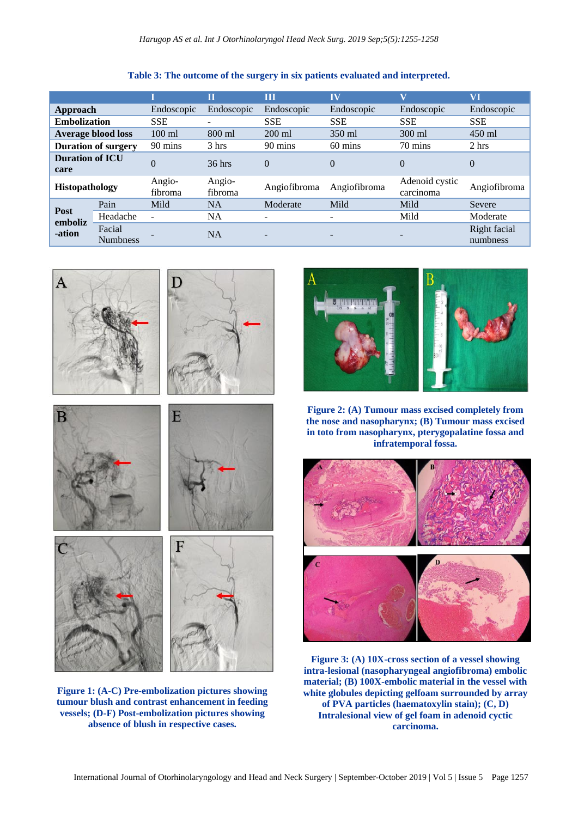|                                |                           |                          | π                 | Ш                        | <b>IV</b>    | $\overline{\mathbf{V}}$     | VI                       |
|--------------------------------|---------------------------|--------------------------|-------------------|--------------------------|--------------|-----------------------------|--------------------------|
| Approach                       |                           | Endoscopic               | Endoscopic        | Endoscopic               | Endoscopic   | Endoscopic                  | Endoscopic               |
| <b>Embolization</b>            |                           | <b>SSE</b>               |                   | <b>SSE</b>               | <b>SSE</b>   | <b>SSE</b>                  | <b>SSE</b>               |
| <b>Average blood loss</b>      |                           | $100 \text{ ml}$         | 800 ml            | $200$ ml                 | 350 ml       | 300 ml                      | $450$ ml                 |
| <b>Duration of surgery</b>     |                           | 90 mins                  | 3 hrs             | 90 mins                  | 60 mins      | 70 mins                     | 2 hrs                    |
| <b>Duration of ICU</b><br>care |                           | $\Omega$                 | $36$ hrs          | $\Omega$                 | $\theta$     | $\Omega$                    | $\Omega$                 |
| <b>Histopathology</b>          |                           | Angio-<br>fibroma        | Angio-<br>fibroma | Angiofibroma             | Angiofibroma | Adenoid cystic<br>carcinoma | Angiofibroma             |
| Post<br>emboliz<br>-ation      | Pain                      | Mild                     | <b>NA</b>         | Moderate                 | Mild         | Mild                        | Severe                   |
|                                | Headache                  | $\overline{\phantom{0}}$ | <b>NA</b>         | $\overline{\phantom{0}}$ | -            | Mild                        | Moderate                 |
|                                | Facial<br><b>Numbness</b> |                          | <b>NA</b>         | -                        |              |                             | Right facial<br>numbness |

## **Table 3: The outcome of the surgery in six patients evaluated and interpreted.**



 $\overline{A}$ 

**tumour blush and contrast enhancement in feeding vessels; (D-F) Post-embolization pictures showing absence of blush in respective cases.**



**Figure 2: (A) Tumour mass excised completely from the nose and nasopharynx; (B) Tumour mass excised in toto from nasopharynx, pterygopalatine fossa and infratemporal fossa.**



**Figure 3: (A) 10X-cross section of a vessel showing intra-lesional (nasopharyngeal angiofibroma) embolic material; (B) 100X-embolic material in the vessel with white globules depicting gelfoam surrounded by array of PVA particles (haematoxylin stain); (C, D) Intralesional view of gel foam in adenoid cyctic carcinoma.**